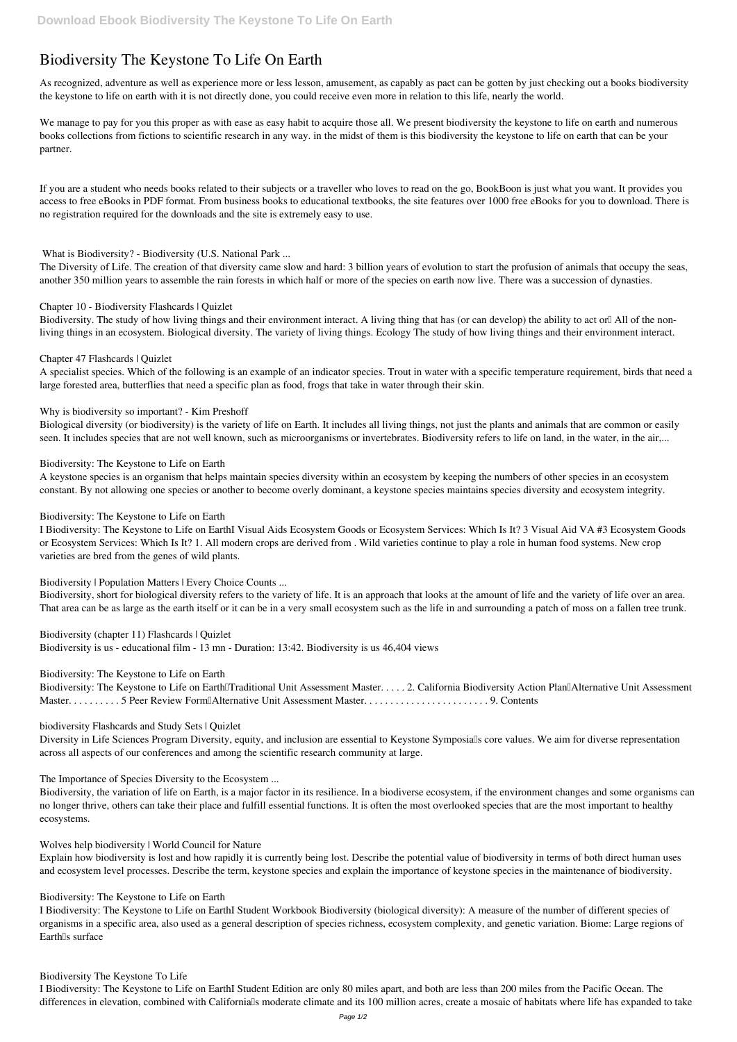# **Biodiversity The Keystone To Life On Earth**

As recognized, adventure as well as experience more or less lesson, amusement, as capably as pact can be gotten by just checking out a books **biodiversity the keystone to life on earth** with it is not directly done, you could receive even more in relation to this life, nearly the world.

We manage to pay for you this proper as with ease as easy habit to acquire those all. We present biodiversity the keystone to life on earth and numerous books collections from fictions to scientific research in any way. in the midst of them is this biodiversity the keystone to life on earth that can be your partner.

If you are a student who needs books related to their subjects or a traveller who loves to read on the go, BookBoon is just what you want. It provides you access to free eBooks in PDF format. From business books to educational textbooks, the site features over 1000 free eBooks for you to download. There is no registration required for the downloads and the site is extremely easy to use.

Biodiversity. The study of how living things and their environment interact. A living thing that has (or can develop) the ability to act orl All of the nonliving things in an ecosystem. Biological diversity. The variety of living things. Ecology The study of how living things and their environment interact.

# **What is Biodiversity? - Biodiversity (U.S. National Park ...**

The Diversity of Life. The creation of that diversity came slow and hard: 3 billion years of evolution to start the profusion of animals that occupy the seas, another 350 million years to assemble the rain forests in which half or more of the species on earth now live. There was a succession of dynasties.

#### **Chapter 10 - Biodiversity Flashcards | Quizlet**

#### **Chapter 47 Flashcards | Quizlet**

A specialist species. Which of the following is an example of an indicator species. Trout in water with a specific temperature requirement, birds that need a large forested area, butterflies that need a specific plan as food, frogs that take in water through their skin.

Biodiversity: The Keystone to Life on Earth Traditional Unit Assessment Master. . . . . 2. California Biodiversity Action Plan Alternative Unit Assessment Master. . . . . . . . . . 5 Peer Review Form—Alternative Unit Assessment Master. . . . . . . . . . . . . . . . . . . . . . . . 9. Contents

# **Why is biodiversity so important? - Kim Preshoff**

Diversity in Life Sciences Program Diversity, equity, and inclusion are essential to Keystone Symposialls core values. We aim for diverse representation across all aspects of our conferences and among the scientific research community at large.

Biological diversity (or biodiversity) is the variety of life on Earth. It includes all living things, not just the plants and animals that are common or easily seen. It includes species that are not well known, such as microorganisms or invertebrates. Biodiversity refers to life on land, in the water, in the air,...

# **Biodiversity: The Keystone to Life on Earth**

I Biodiversity: The Keystone to Life on EarthI Student Workbook Biodiversity (biological diversity): A measure of the number of different species of organisms in a specific area, also used as a general description of species richness, ecosystem complexity, and genetic variation. Biome: Large regions of Earth<sup>[s surface]</sup>

A keystone species is an organism that helps maintain species diversity within an ecosystem by keeping the numbers of other species in an ecosystem constant. By not allowing one species or another to become overly dominant, a keystone species maintains species diversity and ecosystem integrity.

I Biodiversity: The Keystone to Life on EarthI Student Edition are only 80 miles apart, and both are less than 200 miles from the Pacific Ocean. The differences in elevation, combined with California<sup>'s</sup> moderate climate and its 100 million acres, create a mosaic of habitats where life has expanded to take

#### **Biodiversity: The Keystone to Life on Earth**

I Biodiversity: The Keystone to Life on EarthI Visual Aids Ecosystem Goods or Ecosystem Services: Which Is It? 3 Visual Aid VA #3 Ecosystem Goods or Ecosystem Services: Which Is It? 1. All modern crops are derived from . Wild varieties continue to play a role in human food systems. New crop varieties are bred from the genes of wild plants.

# **Biodiversity | Population Matters | Every Choice Counts ...**

Biodiversity, short for biological diversity refers to the variety of life. It is an approach that looks at the amount of life and the variety of life over an area. That area can be as large as the earth itself or it can be in a very small ecosystem such as the life in and surrounding a patch of moss on a fallen tree trunk.

**Biodiversity (chapter 11) Flashcards | Quizlet** Biodiversity is us - educational film - 13 mn - Duration: 13:42. Biodiversity is us 46,404 views

# **Biodiversity: The Keystone to Life on Earth**

#### **biodiversity Flashcards and Study Sets | Quizlet**

#### **The Importance of Species Diversity to the Ecosystem ...**

Biodiversity, the variation of life on Earth, is a major factor in its resilience. In a biodiverse ecosystem, if the environment changes and some organisms can no longer thrive, others can take their place and fulfill essential functions. It is often the most overlooked species that are the most important to healthy ecosystems.

#### **Wolves help biodiversity | World Council for Nature**

Explain how biodiversity is lost and how rapidly it is currently being lost. Describe the potential value of biodiversity in terms of both direct human uses and ecosystem level processes. Describe the term, keystone species and explain the importance of keystone species in the maintenance of biodiversity.

# **Biodiversity: The Keystone to Life on Earth**

#### **Biodiversity The Keystone To Life**